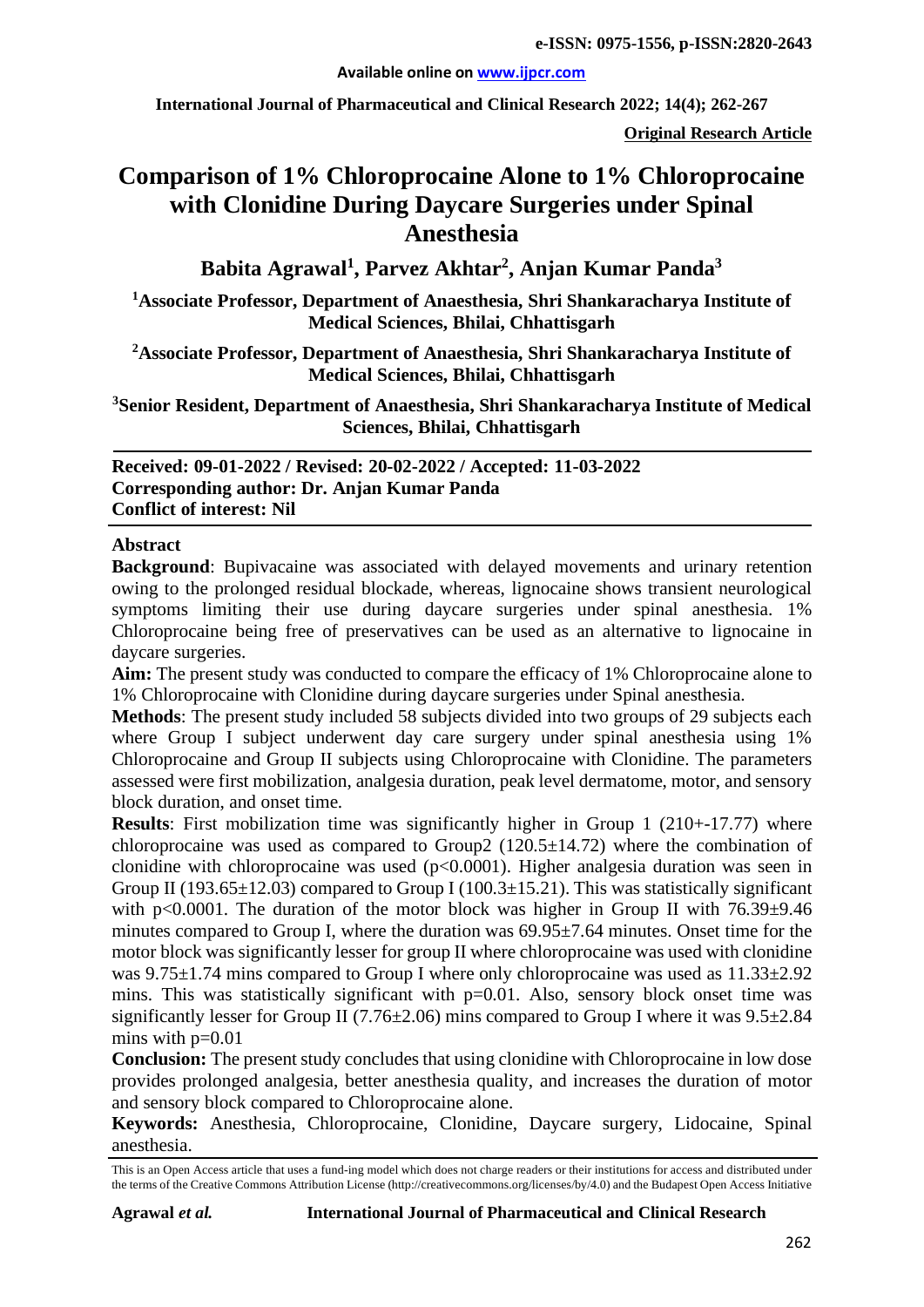#### **Available online on [www.ijpcr.com](http://www.ijpcr.com/)**

**International Journal of Pharmaceutical and Clinical Research 2022; 14(4); 262-267**

**Original Research Article**

# **Comparison of 1% Chloroprocaine Alone to 1% Chloroprocaine with Clonidine During Daycare Surgeries under Spinal Anesthesia**

**Babita Agrawal1 , Parvez Akhtar2 , Anjan Kumar Panda3**

**1 Associate Professor, Department of Anaesthesia, Shri Shankaracharya Institute of Medical Sciences, Bhilai, Chhattisgarh**

**2 Associate Professor, Department of Anaesthesia, Shri Shankaracharya Institute of Medical Sciences, Bhilai, Chhattisgarh**

**3 Senior Resident, Department of Anaesthesia, Shri Shankaracharya Institute of Medical Sciences, Bhilai, Chhattisgarh**

**Received: 09-01-2022 / Revised: 20-02-2022 / Accepted: 11-03-2022 Corresponding author: Dr. Anjan Kumar Panda Conflict of interest: Nil**

#### **Abstract**

**Background**: Bupivacaine was associated with delayed movements and urinary retention owing to the prolonged residual blockade, whereas, lignocaine shows transient neurological symptoms limiting their use during daycare surgeries under spinal anesthesia. 1% Chloroprocaine being free of preservatives can be used as an alternative to lignocaine in daycare surgeries.

**Aim:** The present study was conducted to compare the efficacy of 1% Chloroprocaine alone to 1% Chloroprocaine with Clonidine during daycare surgeries under Spinal anesthesia.

**Methods**: The present study included 58 subjects divided into two groups of 29 subjects each where Group I subject underwent day care surgery under spinal anesthesia using 1% Chloroprocaine and Group II subjects using Chloroprocaine with Clonidine. The parameters assessed were first mobilization, analgesia duration, peak level dermatome, motor, and sensory block duration, and onset time.

**Results**: First mobilization time was significantly higher in Group 1 (210+-17.77) where chloroprocaine was used as compared to Group2  $(120.5 \pm 14.72)$  where the combination of clonidine with chloroprocaine was used (p<0.0001). Higher analgesia duration was seen in Group II (193.65 $\pm$ 12.03) compared to Group I (100.3 $\pm$ 15.21). This was statistically significant with p<0.0001. The duration of the motor block was higher in Group II with  $76.39\pm9.46$ minutes compared to Group I, where the duration was 69.95±7.64 minutes. Onset time for the motor block was significantly lesser for group II where chloroprocaine was used with clonidine was 9.75 $\pm$ 1.74 mins compared to Group I where only chloroprocaine was used as 11.33 $\pm$ 2.92 mins. This was statistically significant with p=0.01. Also, sensory block onset time was significantly lesser for Group II (7.76 $\pm$ 2.06) mins compared to Group I where it was 9.5 $\pm$ 2.84 mins with  $p=0.01$ 

**Conclusion:** The present study concludes that using clonidine with Chloroprocaine in low dose provides prolonged analgesia, better anesthesia quality, and increases the duration of motor and sensory block compared to Chloroprocaine alone.

**Keywords:** Anesthesia, Chloroprocaine, Clonidine, Daycare surgery, Lidocaine, Spinal anesthesia.

This is an Open Access article that uses a fund-ing model which does not charge readers or their institutions for access and distributed under the terms of the Creative Commons Attribution License (http://creativecommons.org/licenses/by/4.0) and the Budapest Open Access Initiative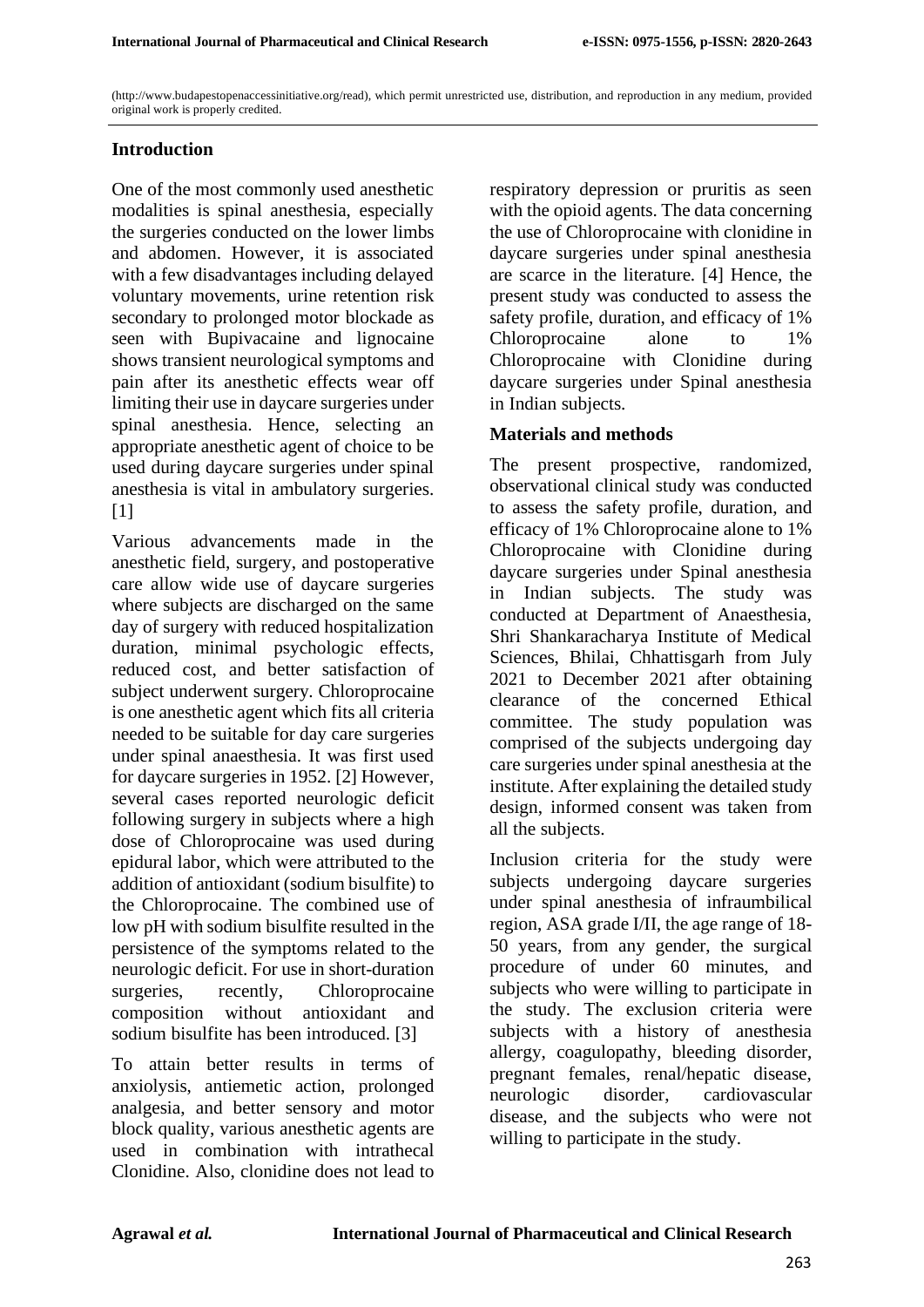(http://www.budapestopenaccessinitiative.org/read), which permit unrestricted use, distribution, and reproduction in any medium, provided original work is properly credited.

### **Introduction**

One of the most commonly used anesthetic modalities is spinal anesthesia, especially the surgeries conducted on the lower limbs and abdomen. However, it is associated with a few disadvantages including delayed voluntary movements, urine retention risk secondary to prolonged motor blockade as seen with Bupivacaine and lignocaine shows transient neurological symptoms and pain after its anesthetic effects wear off limiting their use in daycare surgeries under spinal anesthesia. Hence, selecting an appropriate anesthetic agent of choice to be used during daycare surgeries under spinal anesthesia is vital in ambulatory surgeries.  $[1]$ 

Various advancements made in the anesthetic field, surgery, and postoperative care allow wide use of daycare surgeries where subjects are discharged on the same day of surgery with reduced hospitalization duration, minimal psychologic effects, reduced cost, and better satisfaction of subject underwent surgery. Chloroprocaine is one anesthetic agent which fits all criteria needed to be suitable for day care surgeries under spinal anaesthesia. It was first used for daycare surgeries in 1952. [2] However, several cases reported neurologic deficit following surgery in subjects where a high dose of Chloroprocaine was used during epidural labor, which were attributed to the addition of antioxidant (sodium bisulfite) to the Chloroprocaine. The combined use of low pH with sodium bisulfite resulted in the persistence of the symptoms related to the neurologic deficit. For use in short-duration surgeries, recently, Chloroprocaine composition without antioxidant and sodium bisulfite has been introduced. [3]

To attain better results in terms of anxiolysis, antiemetic action, prolonged analgesia, and better sensory and motor block quality, various anesthetic agents are used in combination with intrathecal Clonidine. Also, clonidine does not lead to

respiratory depression or pruritis as seen with the opioid agents. The data concerning the use of Chloroprocaine with clonidine in daycare surgeries under spinal anesthesia are scarce in the literature. [4] Hence, the present study was conducted to assess the safety profile, duration, and efficacy of 1% Chloroprocaine alone to 1% Chloroprocaine with Clonidine during daycare surgeries under Spinal anesthesia in Indian subjects.

#### **Materials and methods**

The present prospective, randomized, observational clinical study was conducted to assess the safety profile, duration, and efficacy of 1% Chloroprocaine alone to 1% Chloroprocaine with Clonidine during daycare surgeries under Spinal anesthesia in Indian subjects. The study was conducted at Department of Anaesthesia, Shri Shankaracharya Institute of Medical Sciences, Bhilai, Chhattisgarh from July 2021 to December 2021 after obtaining clearance of the concerned Ethical committee. The study population was comprised of the subjects undergoing day care surgeries under spinal anesthesia at the institute. After explaining the detailed study design, informed consent was taken from all the subjects.

Inclusion criteria for the study were subjects undergoing daycare surgeries under spinal anesthesia of infraumbilical region, ASA grade I/II, the age range of 18- 50 years, from any gender, the surgical procedure of under 60 minutes, and subjects who were willing to participate in the study. The exclusion criteria were subjects with a history of anesthesia allergy, coagulopathy, bleeding disorder, pregnant females, renal/hepatic disease, neurologic disorder, cardiovascular disease, and the subjects who were not willing to participate in the study.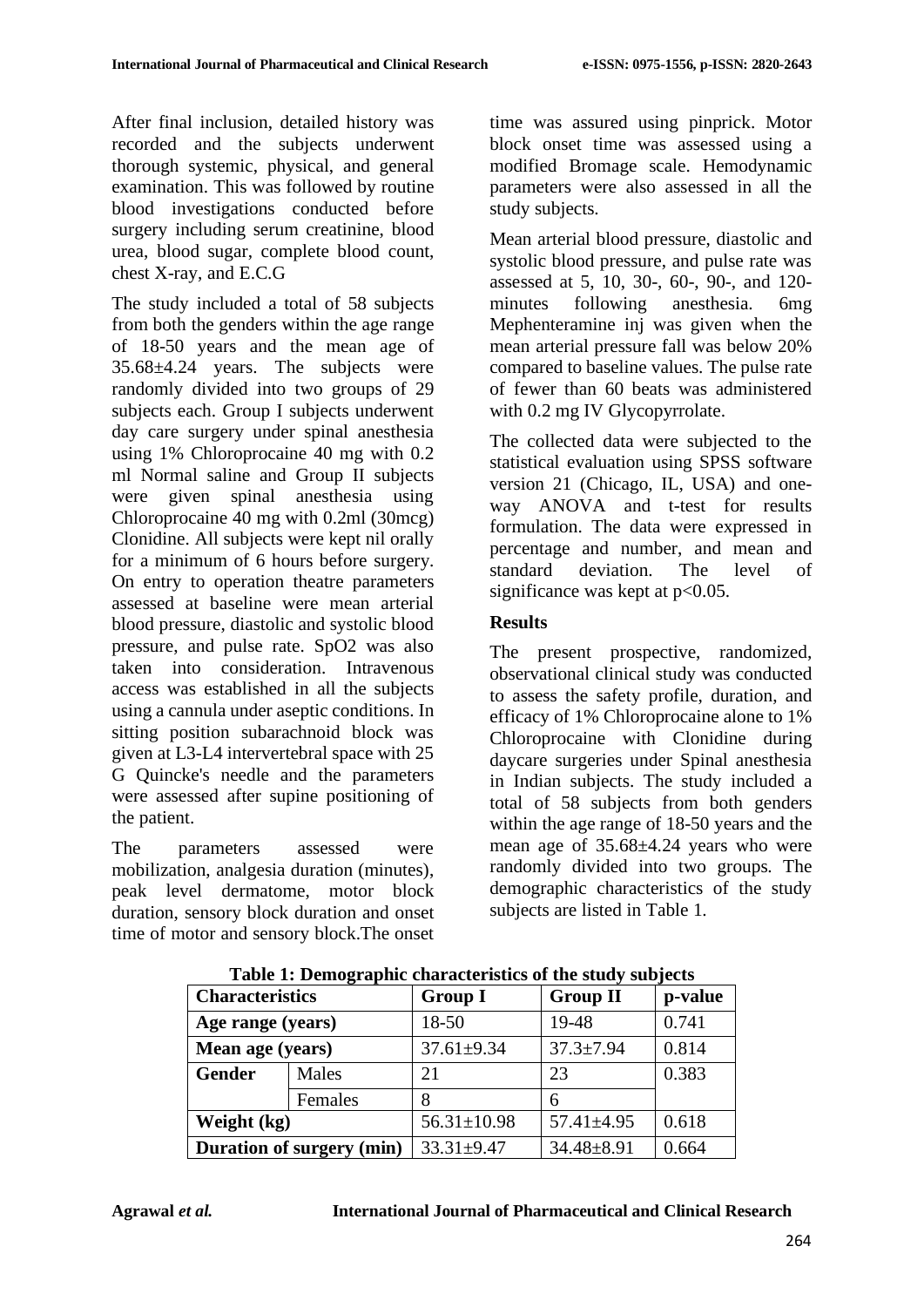After final inclusion, detailed history was recorded and the subjects underwent thorough systemic, physical, and general examination. This was followed by routine blood investigations conducted before surgery including serum creatinine, blood urea, blood sugar, complete blood count, chest X-ray, and E.C.G

The study included a total of 58 subjects from both the genders within the age range of 18-50 years and the mean age of 35.68±4.24 years. The subjects were randomly divided into two groups of 29 subjects each. Group I subjects underwent day care surgery under spinal anesthesia using 1% Chloroprocaine 40 mg with 0.2 ml Normal saline and Group II subjects were given spinal anesthesia using Chloroprocaine 40 mg with 0.2ml (30mcg) Clonidine. All subjects were kept nil orally for a minimum of 6 hours before surgery. On entry to operation theatre parameters assessed at baseline were mean arterial blood pressure, diastolic and systolic blood pressure, and pulse rate. SpO2 was also taken into consideration. Intravenous access was established in all the subjects using a cannula under aseptic conditions. In sitting position subarachnoid block was given at L3-L4 intervertebral space with 25 G Quincke's needle and the parameters were assessed after supine positioning of the patient.

The parameters assessed were mobilization, analgesia duration (minutes), peak level dermatome, motor block duration, sensory block duration and onset time of motor and sensory block.The onset time was assured using pinprick. Motor block onset time was assessed using a modified Bromage scale. Hemodynamic parameters were also assessed in all the study subjects.

Mean arterial blood pressure, diastolic and systolic blood pressure, and pulse rate was assessed at 5, 10, 30-, 60-, 90-, and 120 minutes following anesthesia. 6mg Mephenteramine inj was given when the mean arterial pressure fall was below 20% compared to baseline values. The pulse rate of fewer than 60 beats was administered with 0.2 mg IV Glycopyrrolate.

The collected data were subjected to the statistical evaluation using SPSS software version 21 (Chicago, IL, USA) and oneway ANOVA and t-test for results formulation. The data were expressed in percentage and number, and mean and standard deviation. The level of significance was kept at  $p<0.05$ .

### **Results**

The present prospective, randomized. observational clinical study was conducted to assess the safety profile, duration, and efficacy of 1% Chloroprocaine alone to 1% Chloroprocaine with Clonidine during daycare surgeries under Spinal anesthesia in Indian subjects. The study included a total of 58 subjects from both genders within the age range of 18-50 years and the mean age of 35.68±4.24 years who were randomly divided into two groups. The demographic characteristics of the study subjects are listed in Table 1.

| .<br><b>Characteristics</b> |         | <b>Group I</b>    | <b>Group II</b>  | p-value |
|-----------------------------|---------|-------------------|------------------|---------|
| Age range (years)           |         | 18-50             | 19-48            | 0.741   |
| Mean age (years)            |         | $37.61 \pm 9.34$  | $37.3 \pm 7.94$  | 0.814   |
| <b>Gender</b>               | Males   | 21                | 23               | 0.383   |
|                             | Females | 8                 | 6                |         |
| Weight (kg)                 |         | $56.31 \pm 10.98$ | $57.41 \pm 4.95$ | 0.618   |
| Duration of surgery (min)   |         | $33.31 \pm 9.47$  | 34.48±8.91       | 0.664   |

**Table 1: Demographic characteristics of the study subjects**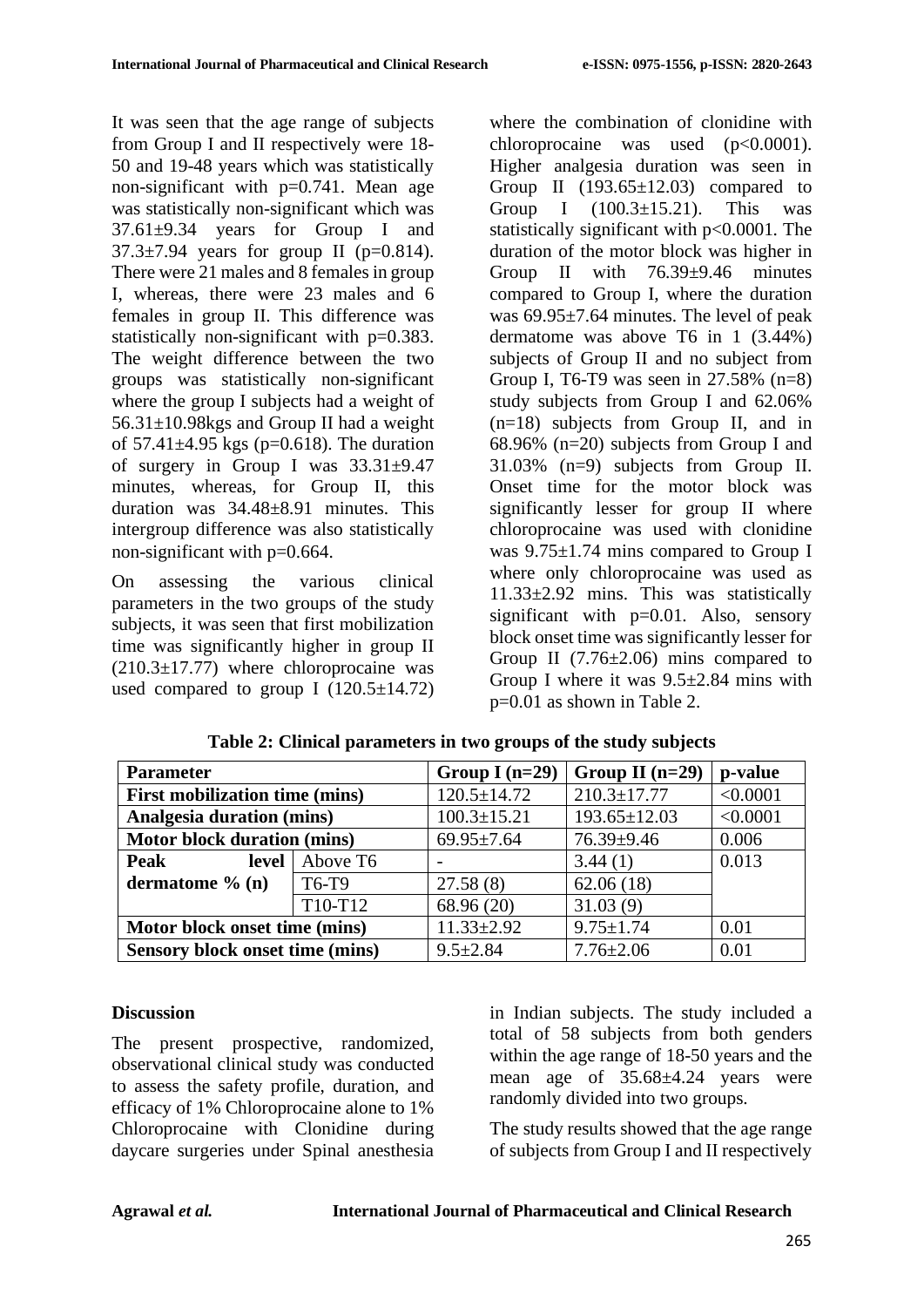It was seen that the age range of subjects from Group I and II respectively were 18- 50 and 19-48 years which was statistically non-significant with p=0.741. Mean age was statistically non-significant which was 37.61±9.34 years for Group I and  $37.3 \pm 7.94$  years for group II (p=0.814). There were 21 males and 8 females in group I, whereas, there were 23 males and 6 females in group II. This difference was statistically non-significant with p=0.383. The weight difference between the two groups was statistically non-significant where the group I subjects had a weight of 56.31±10.98kgs and Group II had a weight of 57.41±4.95 kgs (p=0.618). The duration of surgery in Group I was  $33.31 \pm 9.47$ minutes, whereas, for Group II, this duration was 34.48±8.91 minutes. This intergroup difference was also statistically non-significant with p=0.664.

On assessing the various clinical parameters in the two groups of the study subjects, it was seen that first mobilization time was significantly higher in group II  $(210.3 \pm 17.77)$  where chloroprocaine was used compared to group I  $(120.5\pm14.72)$  where the combination of clonidine with chloroprocaine was used (p<0.0001). Higher analgesia duration was seen in Group II  $(193.65 \pm 12.03)$  compared to Group I  $(100.3\pm15.21)$ . This was statistically significant with p<0.0001. The duration of the motor block was higher in Group II with 76.39±9.46 minutes compared to Group I, where the duration was 69.95±7.64 minutes. The level of peak dermatome was above T6 in 1 (3.44%) subjects of Group II and no subject from Group I, T6-T9 was seen in 27.58% (n=8) study subjects from Group I and 62.06% (n=18) subjects from Group II, and in 68.96% (n=20) subjects from Group I and 31.03% (n=9) subjects from Group II. Onset time for the motor block was significantly lesser for group II where chloroprocaine was used with clonidine was 9.75±1.74 mins compared to Group I where only chloroprocaine was used as 11.33±2.92 mins. This was statistically significant with p=0.01. Also, sensory block onset time was significantly lesser for Group II  $(7.76 \pm 2.06)$  mins compared to Group I where it was  $9.5 \pm 2.84$  mins with p=0.01 as shown in Table 2.

| Parameter                              |                                | Group I $(n=29)$  | Group II $(n=29)$  | p-value  |
|----------------------------------------|--------------------------------|-------------------|--------------------|----------|
| <b>First mobilization time (mins)</b>  |                                | $120.5 \pm 14.72$ | $210.3 \pm 17.77$  | < 0.0001 |
| Analgesia duration (mins)              |                                | $100.3 \pm 15.21$ | $193.65 \pm 12.03$ | < 0.0001 |
| <b>Motor block duration (mins)</b>     |                                | $69.95 \pm 7.64$  | $76.39 \pm 9.46$   | 0.006    |
| Peak<br><b>level</b>                   | Above T <sub>6</sub>           |                   | 3.44(1)            | 0.013    |
| dermatome $% (n)$                      | T <sub>6</sub> -T <sub>9</sub> | 27.58(8)          | 62.06(18)          |          |
|                                        | T10-T12                        | 68.96 (20)        | 31.03(9)           |          |
| Motor block onset time (mins)          |                                | $11.33 \pm 2.92$  | $9.75 \pm 1.74$    | 0.01     |
| <b>Sensory block onset time (mins)</b> |                                | $9.5 \pm 2.84$    | $7.76 \pm 2.06$    | 0.01     |

**Table 2: Clinical parameters in two groups of the study subjects**

#### **Discussion**

The present prospective, randomized, observational clinical study was conducted to assess the safety profile, duration, and efficacy of 1% Chloroprocaine alone to 1% Chloroprocaine with Clonidine during daycare surgeries under Spinal anesthesia in Indian subjects. The study included a total of 58 subjects from both genders within the age range of 18-50 years and the mean age of 35.68±4.24 years were randomly divided into two groups.

The study results showed that the age range of subjects from Group I and II respectively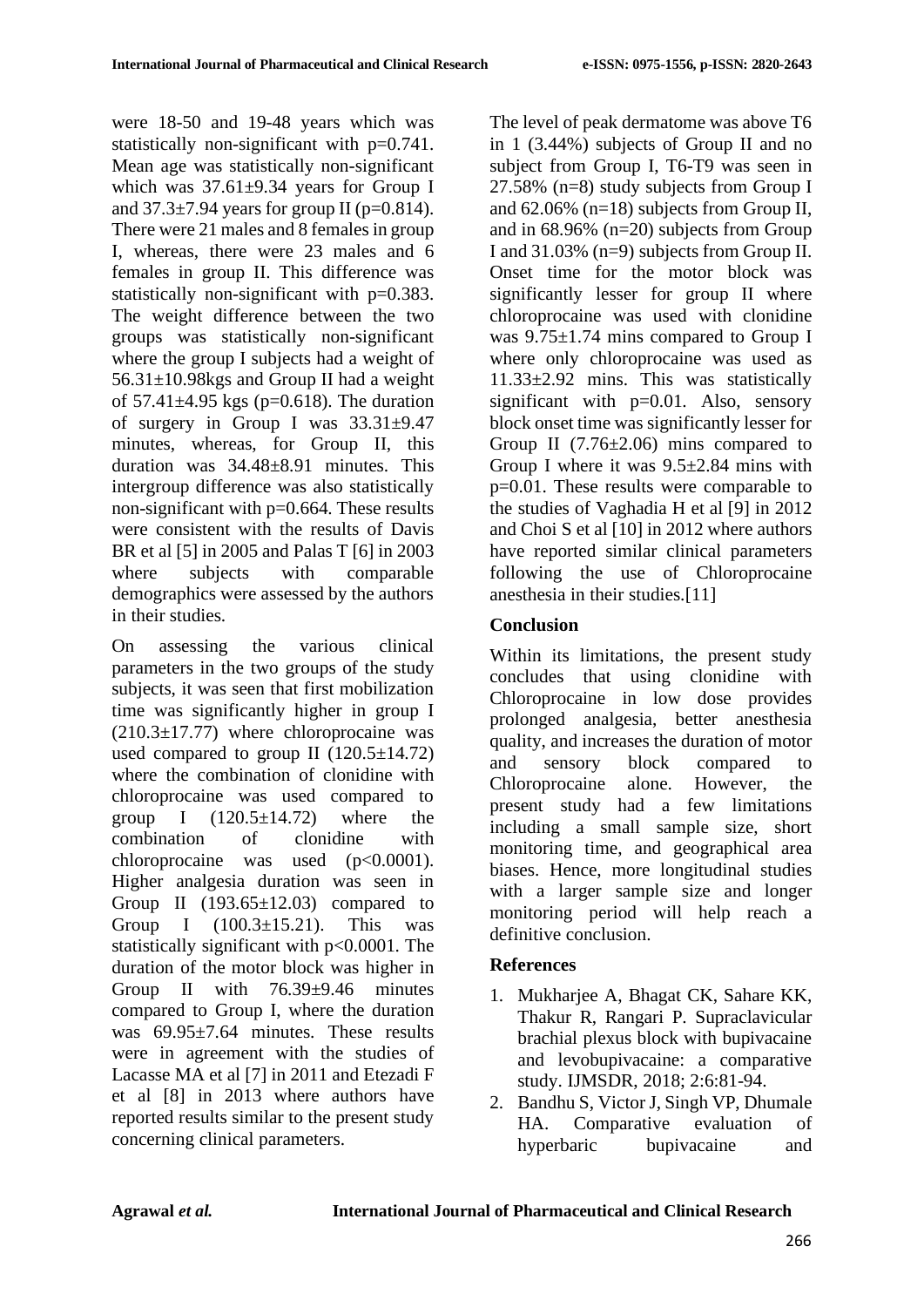were 18-50 and 19-48 years which was statistically non-significant with p=0.741. Mean age was statistically non-significant which was  $37.61 \pm 9.34$  years for Group I and  $37.3\pm7.94$  years for group II (p=0.814). There were 21 males and 8 females in group I, whereas, there were 23 males and 6 females in group II. This difference was statistically non-significant with p=0.383. The weight difference between the two groups was statistically non-significant where the group I subjects had a weight of 56.31±10.98kgs and Group II had a weight of 57.41±4.95 kgs (p=0.618). The duration of surgery in Group I was 33.31±9.47 minutes, whereas, for Group II, this duration was 34.48±8.91 minutes. This intergroup difference was also statistically non-significant with p=0.664. These results were consistent with the results of Davis BR et al [5] in 2005 and Palas T [6] in 2003 where subjects with comparable demographics were assessed by the authors in their studies.

On assessing the various clinical parameters in the two groups of the study subjects, it was seen that first mobilization time was significantly higher in group I  $(210.3\pm17.77)$  where chloroprocaine was used compared to group II  $(120.5\pm14.72)$ where the combination of clonidine with chloroprocaine was used compared to group I  $(120.5\pm14.72)$  where the combination of clonidine with chloroprocaine was used (p<0.0001). Higher analgesia duration was seen in Group II  $(193.65 \pm 12.03)$  compared to Group I (100.3±15.21). This was statistically significant with p<0.0001. The duration of the motor block was higher in Group II with 76.39±9.46 minutes compared to Group I, where the duration was 69.95±7.64 minutes. These results were in agreement with the studies of Lacasse MA et al [7] in 2011 and Etezadi F et al [8] in 2013 where authors have reported results similar to the present study concerning clinical parameters.

The level of peak dermatome was above T6 in 1 (3.44%) subjects of Group II and no subject from Group I, T6-T9 was seen in 27.58% (n=8) study subjects from Group I and 62.06% (n=18) subjects from Group II, and in 68.96% (n=20) subjects from Group I and 31.03% (n=9) subjects from Group II. Onset time for the motor block was significantly lesser for group II where chloroprocaine was used with clonidine was  $9.75 \pm 1.74$  mins compared to Group I where only chloroprocaine was used as 11.33±2.92 mins. This was statistically significant with p=0.01. Also, sensory block onset time was significantly lesser for Group II  $(7.76 \pm 2.06)$  mins compared to Group I where it was  $9.5 \pm 2.84$  mins with p=0.01. These results were comparable to the studies of Vaghadia H et al [9] in 2012 and Choi S et al [10] in 2012 where authors have reported similar clinical parameters following the use of Chloroprocaine anesthesia in their studies.[11]

## **Conclusion**

Within its limitations, the present study concludes that using clonidine with Chloroprocaine in low dose provides prolonged analgesia, better anesthesia quality, and increases the duration of motor and sensory block compared to Chloroprocaine alone. However, the present study had a few limitations including a small sample size, short monitoring time, and geographical area biases. Hence, more longitudinal studies with a larger sample size and longer monitoring period will help reach a definitive conclusion.

# **References**

- 1. Mukharjee A, Bhagat CK, Sahare KK, Thakur R, Rangari P. Supraclavicular brachial plexus block with bupivacaine and levobupivacaine: a comparative study. IJMSDR, 2018; 2:6:81-94.
- 2. Bandhu S, Victor J, Singh VP, Dhumale HA. Comparative evaluation of hyperbaric bupivacaine and